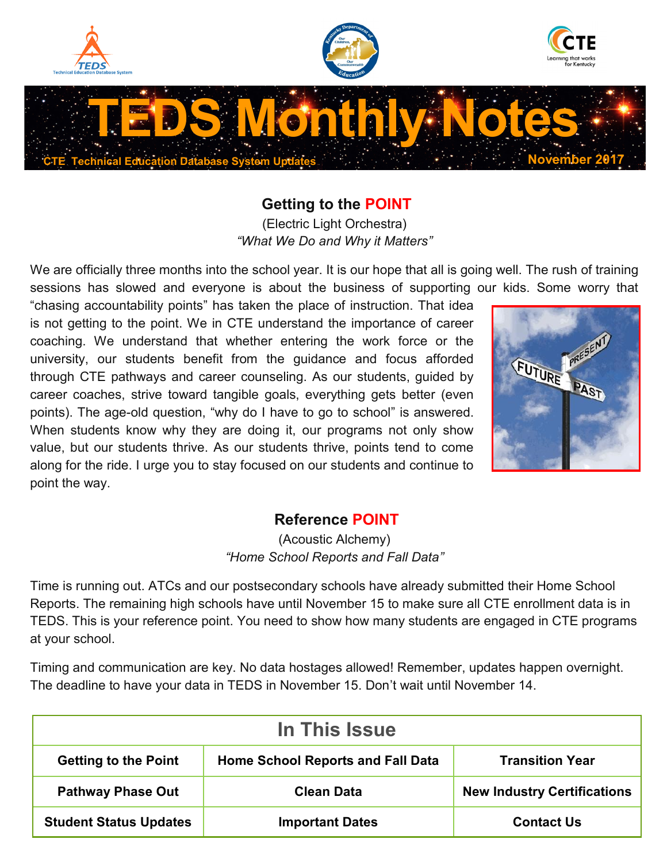





# **TEDS Monthly Notes CTE Technical Education Database System Updates November 2017**

#### **Getting to the POINT**

(Electric Light Orchestra) *"What We Do and Why it Matters"*

We are officially three months into the school year. It is our hope that all is going well. The rush of training sessions has slowed and everyone is about the business of supporting our kids. Some worry that

"chasing accountability points" has taken the place of instruction. That idea is not getting to the point. We in CTE understand the importance of career coaching. We understand that whether entering the work force or the university, our students benefit from the guidance and focus afforded through CTE pathways and career counseling. As our students, guided by career coaches, strive toward tangible goals, everything gets better (even points). The age-old question, "why do I have to go to school" is answered. When students know why they are doing it, our programs not only show value, but our students thrive. As our students thrive, points tend to come along for the ride. I urge you to stay focused on our students and continue to point the way.



#### **Reference POINT**

(Acoustic Alchemy) *"Home School Reports and Fall Data"*

Time is running out. ATCs and our postsecondary schools have already submitted their Home School Reports. The remaining high schools have until November 15 to make sure all CTE enrollment data is in TEDS. This is your reference point. You need to show how many students are engaged in CTE programs at your school.

Timing and communication are key. No data hostages allowed! Remember, updates happen overnight. The deadline to have your data in TEDS in November 15. Don't wait until November 14.

| In This Issue                 |                                          |                                    |  |
|-------------------------------|------------------------------------------|------------------------------------|--|
| <b>Getting to the Point</b>   | <b>Home School Reports and Fall Data</b> | <b>Transition Year</b>             |  |
| <b>Pathway Phase Out</b>      | <b>Clean Data</b>                        | <b>New Industry Certifications</b> |  |
| <b>Student Status Updates</b> | <b>Important Dates</b>                   | <b>Contact Us</b>                  |  |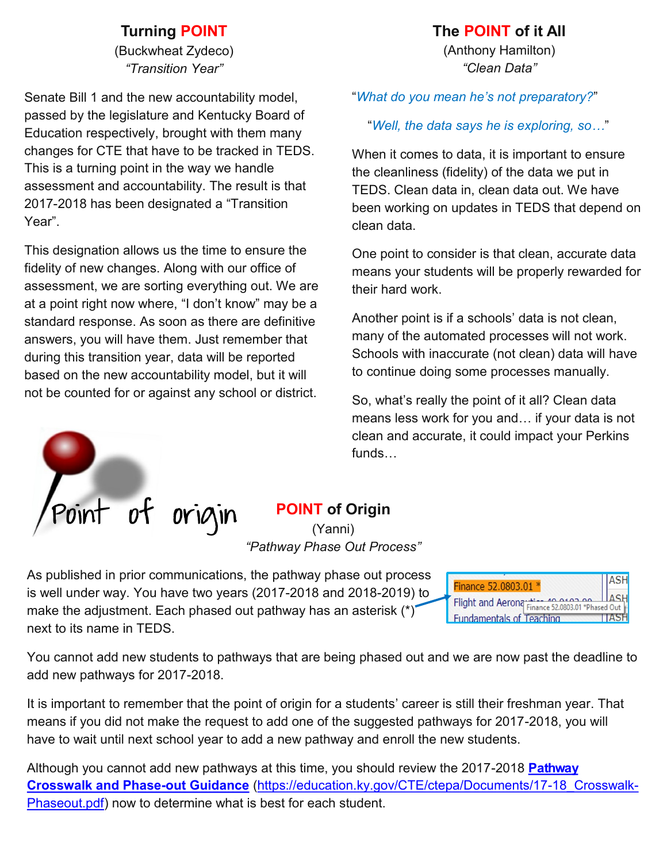#### **Turning POINT**

(Buckwheat Zydeco) *"Transition Year"*

Senate Bill 1 and the new accountability model, passed by the legislature and Kentucky Board of Education respectively, brought with them many changes for CTE that have to be tracked in TEDS. This is a turning point in the way we handle assessment and accountability. The result is that 2017-2018 has been designated a "Transition Year".

This designation allows us the time to ensure the fidelity of new changes. Along with our office of assessment, we are sorting everything out. We are at a point right now where, "I don't know" may be a standard response. As soon as there are definitive answers, you will have them. Just remember that during this transition year, data will be reported based on the new accountability model, but it will not be counted for or against any school or district.

#### **The POINT of it All**

(Anthony Hamilton) *"Clean Data"*

"*What do you mean he's not preparatory?*"

"*Well, the data says he is exploring, so…*"

When it comes to data, it is important to ensure the cleanliness (fidelity) of the data we put in TEDS. Clean data in, clean data out. We have been working on updates in TEDS that depend on clean data.

One point to consider is that clean, accurate data means your students will be properly rewarded for their hard work.

Another point is if a schools' data is not clean, many of the automated processes will not work. Schools with inaccurate (not clean) data will have to continue doing some processes manually.

So, what's really the point of it all? Clean data means less work for you and… if your data is not clean and accurate, it could impact your Perkins funds…



## **POINT of Origin**

(Yanni) *"Pathway Phase Out Process"*

As published in prior communications, the pathway phase out process is well under way. You have two years (2017-2018 and 2018-2019) to make the adjustment. Each phased out pathway has an asterisk (\*) next to its name in TEDS.

**ASH** Finance 52.0803.01 \* **ASH** Flight and Aerona Finance 52.0803.01 \*Phased Out **Fundamentals of Teaching TTASH** 

You cannot add new students to pathways that are being phased out and we are now past the deadline to add new pathways for 2017-2018.

It is important to remember that the point of origin for a students' career is still their freshman year. That means if you did not make the request to add one of the suggested pathways for 2017-2018, you will have to wait until next school year to add a new pathway and enroll the new students.

Although you cannot add new pathways at this time, you should review the 2017-2018 **[Pathway](https://education.ky.gov/CTE/ctepa/Documents/17-18_Crosswalk-Phaseout.pdf)  [Crosswalk and Phase](https://education.ky.gov/CTE/ctepa/Documents/17-18_Crosswalk-Phaseout.pdf)-out Guidance** [\(https://education.ky.gov/CTE/ctepa/Documents/17](https://education.ky.gov/CTE/ctepa/Documents/17-18_Crosswalk-Phaseout.pdf)-18\_Crosswalk-[Phaseout.pdf\)](https://education.ky.gov/CTE/ctepa/Documents/17-18_Crosswalk-Phaseout.pdf) now to determine what is best for each student.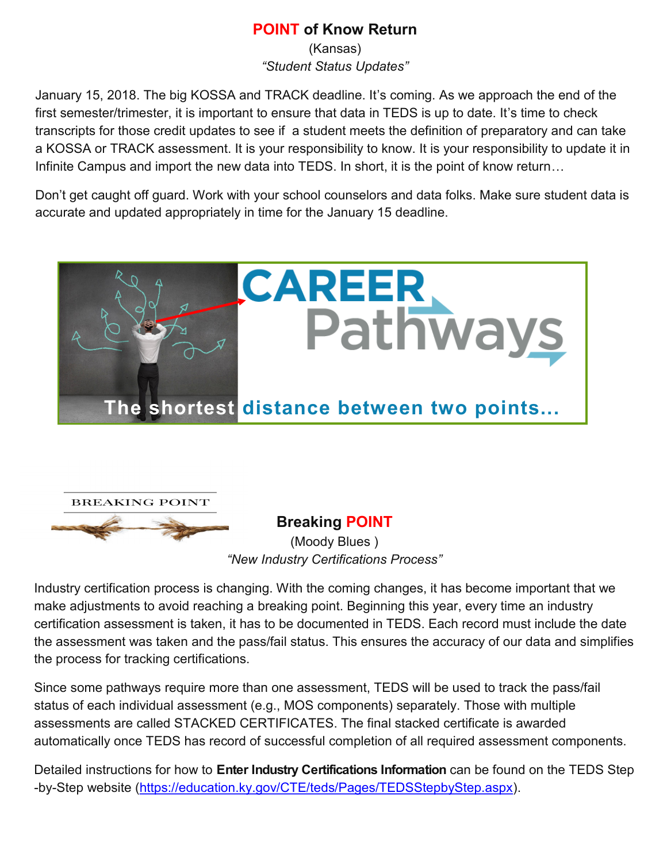#### **POINT of Know Return**

(Kansas) *"Student Status Updates"*

January 15, 2018. The big KOSSA and TRACK deadline. It's coming. As we approach the end of the first semester/trimester, it is important to ensure that data in TEDS is up to date. It's time to check transcripts for those credit updates to see if a student meets the definition of preparatory and can take a KOSSA or TRACK assessment. It is your responsibility to know. It is your responsibility to update it in Infinite Campus and import the new data into TEDS. In short, it is the point of know return…

Don't get caught off guard. Work with your school counselors and data folks. Make sure student data is accurate and updated appropriately in time for the January 15 deadline.





**Breaking POINT** (Moody Blues ) *"New Industry Certifications Process"*

Industry certification process is changing. With the coming changes, it has become important that we make adjustments to avoid reaching a breaking point. Beginning this year, every time an industry certification assessment is taken, it has to be documented in TEDS. Each record must include the date the assessment was taken and the pass/fail status. This ensures the accuracy of our data and simplifies the process for tracking certifications.

Since some pathways require more than one assessment, TEDS will be used to track the pass/fail status of each individual assessment (e.g., MOS components) separately. Those with multiple assessments are called STACKED CERTIFICATES. The final stacked certificate is awarded automatically once TEDS has record of successful completion of all required assessment components.

Detailed instructions for how to **Enter Industry Certifications Information** can be found on the TEDS Step -by-Step website [\(https://education.ky.gov/CTE/teds/Pages/TEDSStepbyStep.aspx\)](https://education.ky.gov/CTE/teds/Pages/TEDSStepbyStep.aspx).